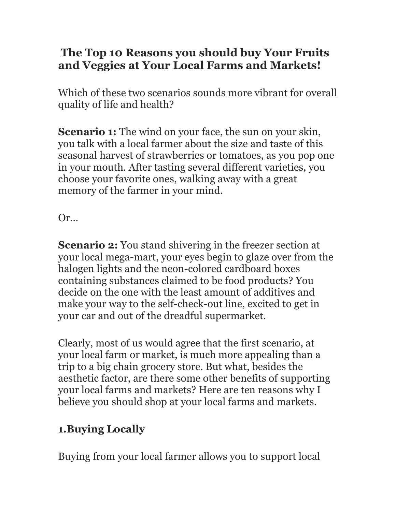## The Top 10 Reasons you should buy Your Fruits and Veggies at Your Local Farms and Markets!

Which of these two scenarios sounds more vibrant for overall quality of life and health?

**Scenario 1:** The wind on your face, the sun on your skin, you talk with a local farmer about the size and taste of this seasonal harvest of strawberries or tomatoes, as you pop one in your mouth. After tasting several different varieties, you choose your favorite ones, walking away with a great memory of the farmer in your mind.

Or…

**Scenario 2:** You stand shivering in the freezer section at your local mega-mart, your eyes begin to glaze over from the halogen lights and the neon-colored cardboard boxes containing substances claimed to be food products? You decide on the one with the least amount of additives and make your way to the self-check-out line, excited to get in your car and out of the dreadful supermarket.

Clearly, most of us would agree that the first scenario, at your local farm or market, is much more appealing than a trip to a big chain grocery store. But what, besides the aesthetic factor, are there some other benefits of supporting your local farms and markets? Here are ten reasons why I believe you should shop at your local farms and markets.

## 1.Buying Locally

Buying from your local farmer allows you to support local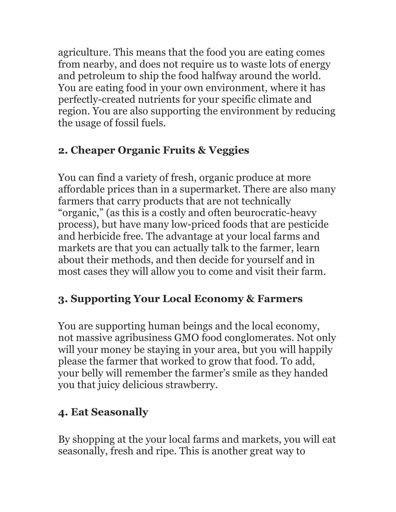agriculture. This means that the food you are eating comes from nearby, and does not require us to waste lots of energy and petroleum to ship the food halfway around the world. You are eating food in your own environment, where it has perfectly-created nutrients for your specific climate and region. You are also supporting the environment by reducing the usage of fossil fuels.

# 2. Cheaper Organic Fruits & Veggies

You can find a variety of fresh, organic produce at more affordable prices than in a supermarket. There are also many farmers that carry products that are not technically "organic," (as this is a costly and often beurocratic-heavy process), but have many low-priced foods that are pesticide and herbicide free. The advantage at your local farms and markets are that you can actually talk to the farmer, learn about their methods, and then decide for yourself and in most cases they will allow you to come and visit their farm.

# 3. Supporting Your Local Economy & Farmers

You are supporting human beings and the local economy, not massive agribusiness GMO food conglomerates. Not only will your money be staying in your area, but you will happily please the farmer that worked to grow that food. To add, your belly will remember the farmer's smile as they handed you that juicy delicious strawberry.

# 4. Eat Seasonally

By shopping at the your local farms and markets, you will eat seasonally, fresh and ripe. This is another great way to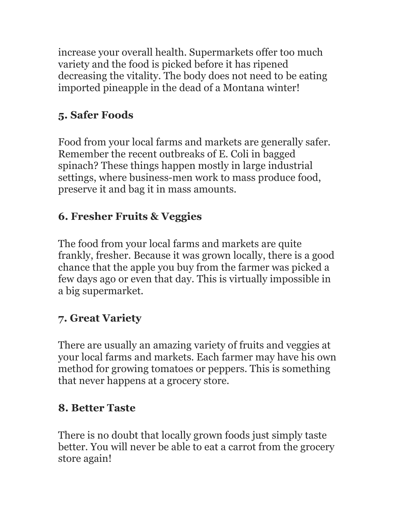increase your overall health. Supermarkets offer too much variety and the food is picked before it has ripened decreasing the vitality. The body does not need to be eating imported pineapple in the dead of a Montana winter!

## 5. Safer Foods

Food from your local farms and markets are generally safer. Remember the recent outbreaks of E. Coli in bagged spinach? These things happen mostly in large industrial settings, where business-men work to mass produce food, preserve it and bag it in mass amounts.

## 6. Fresher Fruits & Veggies

The food from your local farms and markets are quite frankly, fresher. Because it was grown locally, there is a good chance that the apple you buy from the farmer was picked a few days ago or even that day. This is virtually impossible in a big supermarket.

# 7. Great Variety

There are usually an amazing variety of fruits and veggies at your local farms and markets. Each farmer may have his own method for growing tomatoes or peppers. This is something that never happens at a grocery store.

### 8. Better Taste

There is no doubt that locally grown foods just simply taste better. You will never be able to eat a carrot from the grocery store again!